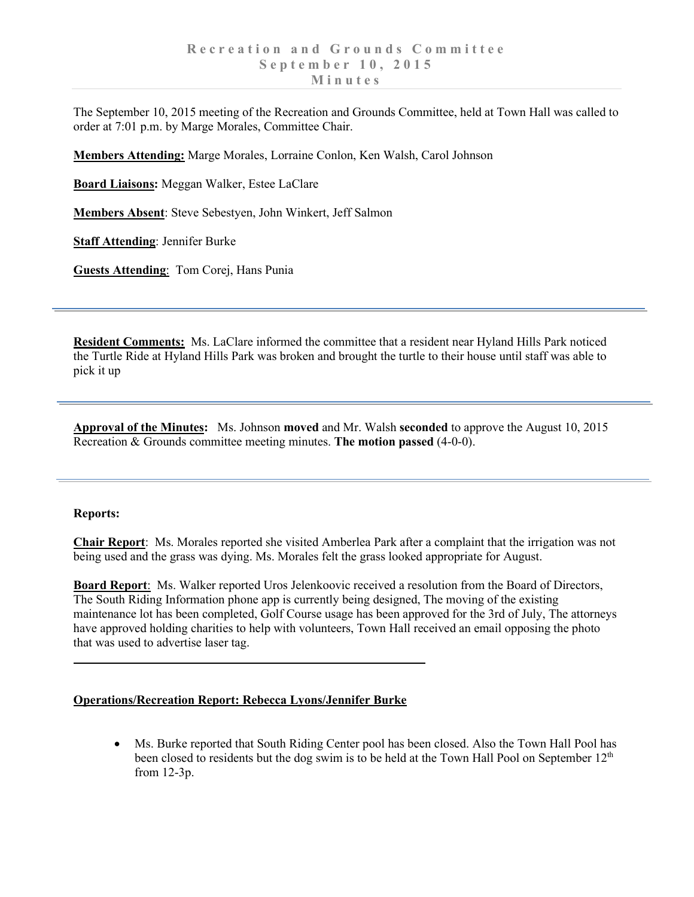The September 10, 2015 meeting of the Recreation and Grounds Committee, held at Town Hall was called to order at 7:01 p.m. by Marge Morales, Committee Chair.

**Members Attending:** Marge Morales, Lorraine Conlon, Ken Walsh, Carol Johnson

**Board Liaisons:** Meggan Walker, Estee LaClare

**Members Absent**: Steve Sebestyen, John Winkert, Jeff Salmon

**Staff Attending**: Jennifer Burke

**Guests Attending**: Tom Corej, Hans Punia

**Resident Comments:** Ms. LaClare informed the committee that a resident near Hyland Hills Park noticed the Turtle Ride at Hyland Hills Park was broken and brought the turtle to their house until staff was able to pick it up

**Approval of the Minutes:** Ms. Johnson **moved** and Mr. Walsh **seconded** to approve the August 10, 2015 Recreation & Grounds committee meeting minutes. **The motion passed** (4-0-0).

## **Reports:**

**Chair Report**: Ms. Morales reported she visited Amberlea Park after a complaint that the irrigation was not being used and the grass was dying. Ms. Morales felt the grass looked appropriate for August.

**Board Report**: Ms. Walker reported Uros Jelenkoovic received a resolution from the Board of Directors, The South Riding Information phone app is currently being designed, The moving of the existing maintenance lot has been completed, Golf Course usage has been approved for the 3rd of July, The attorneys have approved holding charities to help with volunteers, Town Hall received an email opposing the photo that was used to advertise laser tag.

## **Operations/Recreation Report: Rebecca Lyons/Jennifer Burke**

• Ms. Burke reported that South Riding Center pool has been closed. Also the Town Hall Pool has been closed to residents but the dog swim is to be held at the Town Hall Pool on September  $12<sup>th</sup>$ from 12-3p.